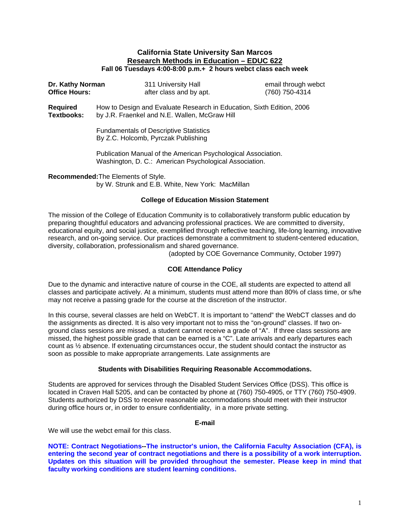#### **California State University San Marcos Research Methods in Education – EDUC 622 Fall 06 Tuesdays 4:00-8:00 p.m.+ 2 hours webct class each week**

| (760) 750-4314                                                                                                          |  |  |  |  |  |
|-------------------------------------------------------------------------------------------------------------------------|--|--|--|--|--|
| How to Design and Evaluate Research in Education, Sixth Edition, 2006<br>by J.R. Fraenkel and N.E. Wallen, McGraw Hill  |  |  |  |  |  |
| <b>Fundamentals of Descriptive Statistics</b><br>By Z.C. Holcomb, Pyrczak Publishing                                    |  |  |  |  |  |
| Publication Manual of the American Psychological Association.<br>Washington, D. C.: American Psychological Association. |  |  |  |  |  |
|                                                                                                                         |  |  |  |  |  |

**Recommended:**The Elements of Style. by W. Strunk and E.B. White, New York: MacMillan

#### **College of Education Mission Statement**

The mission of the College of Education Community is to collaboratively transform public education by preparing thoughtful educators and advancing professional practices. We are committed to diversity, educational equity, and social justice, exemplified through reflective teaching, life-long learning, innovative research, and on-going service. Our practices demonstrate a commitment to student-centered education, diversity, collaboration, professionalism and shared governance.

(adopted by COE Governance Community, October 1997)

# **COE Attendance Policy**

Due to the dynamic and interactive nature of course in the COE, all students are expected to attend all classes and participate actively. At a minimum, students must attend more than 80% of class time, or s/he may not receive a passing grade for the course at the discretion of the instructor.

In this course, several classes are held on WebCT. It is important to "attend" the WebCT classes and do the assignments as directed. It is also very important not to miss the "on-ground" classes. If two onground class sessions are missed, a student cannot receive a grade of "A". If three class sessions are missed, the highest possible grade that can be earned is a "C". Late arrivals and early departures each count as ½ absence. If extenuating circumstances occur, the student should contact the instructor as soon as possible to make appropriate arrangements. Late assignments are

#### **Students with Disabilities Requiring Reasonable Accommodations.**

Students are approved for services through the Disabled Student Services Office (DSS). This office is located in Craven Hall 5205, and can be contacted by phone at (760) 750-4905, or TTY (760) 750-4909. Students authorized by DSS to receive reasonable accommodations should meet with their instructor during office hours or, in order to ensure confidentiality, in a more private setting.

#### **E-mail**

We will use the webct email for this class.

**NOTE: Contract Negotiations--The instructor's union, the California Faculty Association (CFA), is entering the second year of contract negotiations and there is a possibility of a work interruption. Updates on this situation will be provided throughout the semester. Please keep in mind that faculty working conditions are student learning conditions.**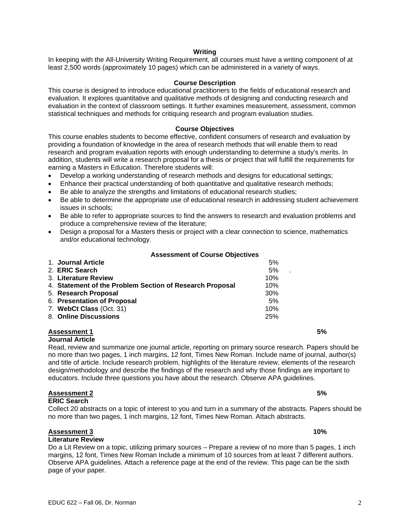#### **Writing**

In keeping with the All-University Writing Requirement, all courses must have a writing component of at least 2,500 words (approximately 10 pages) which can be administered in a variety of ways.

#### **Course Description**

This course is designed to introduce educational practitioners to the fields of educational research and evaluation. It explores quantitative and qualitative methods of designing and conducting research and evaluation in the context of classroom settings. It further examines measurement, assessment, common statistical techniques and methods for critiquing research and program evaluation studies.

#### **Course Objectives**

This course enables students to become effective, confident consumers of research and evaluation by providing a foundation of knowledge in the area of research methods that will enable them to read research and program evaluation reports with enough understanding to determine a study's merits. In addition, students will write a research proposal for a thesis or project that will fulfill the requirements for earning a Masters in Education. Therefore students will:

- Develop a working understanding of research methods and designs for educational settings;
- Enhance their practical understanding of both quantitative and qualitative research methods;
- Be able to analyze the strengths and limitations of educational research studies;
- Be able to determine the appropriate use of educational research in addressing student achievement issues in schools;
- Be able to refer to appropriate sources to find the answers to research and evaluation problems and produce a comprehensive review of the literature;
- Design a proposal for a Masters thesis or project with a clear connection to science, mathematics and/or educational technology.

#### **Assessment of Course Objectives**

| 1. Journal Article                                       | 5%         |
|----------------------------------------------------------|------------|
| 2. ERIC Search                                           | 5%         |
| 3. Literature Review                                     | 10%        |
| 4. Statement of the Problem Section of Research Proposal | 10%        |
| 5. Research Proposal                                     | <b>30%</b> |
| 6. Presentation of Proposal                              | 5%         |
| 7. WebCt Class (Oct. 31)                                 | 10%        |
| 8. Online Discussions                                    | 25%        |

#### **Assessment 1 5% Journal Article**

Read, review and summarize one journal article, reporting on primary source research. Papers should be no more than two pages, 1 inch margins, 12 font, Times New Roman. Include name of journal, author(s) and title of article. Include research problem, highlights of the literature review, elements of the research design/methodology and describe the findings of the research and why those findings are important to educators. Include three questions you have about the research. Observe APA guidelines.

Collect 20 abstracts on a topic of interest to you and turn in a summary of the abstracts. Papers should be

#### **Assessment 2 5%**

#### **ERIC Search**

# no more than two pages, 1 inch margins, 12 font, Times New Roman. Attach abstracts.

# **Assessment 3 10%**

# **Literature Review**

Do a Lit Review on a topic, utilizing primary sources – Prepare a review of no more than 5 pages, 1 inch margins, 12 font, Times New Roman Include a minimum of 10 sources from at least 7 different authors. Observe APA guidelines. Attach a reference page at the end of the review. This page can be the sixth page of your paper.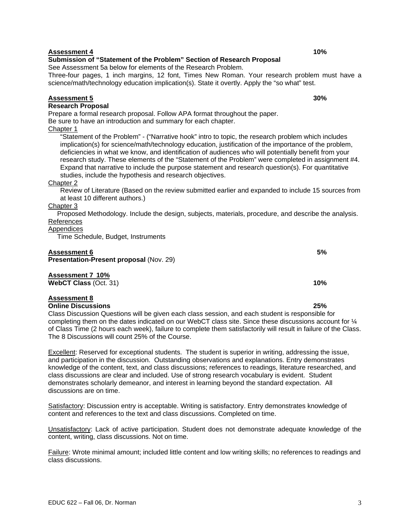# **Assessment 4 10%**

# **Submission of "Statement of the Problem" Section of Research Proposal**

See Assessment 5a below for elements of the Research Problem.

Three-four pages, 1 inch margins, 12 font, Times New Roman. Your research problem must have a science/math/technology education implication(s). State it overtly. Apply the "so what" test.

### **Assessment 5 30%**

# **Research Proposal**

Prepare a formal research proposal. Follow APA format throughout the paper.

Be sure to have an introduction and summary for each chapter.

### Chapter 1

"Statement of the Problem" - ("Narrative hook" intro to topic, the research problem which includes implication(s) for science/math/technology education, justification of the importance of the problem, deficiencies in what we know, and identification of audiences who will potentially benefit from your research study. These elements of the "Statement of the Problem" were completed in assignment #4. Expand that narrative to include the purpose statement and research question(s). For quantitative studies, include the hypothesis and research objectives.

#### Chapter 2

Review of Literature (Based on the review submitted earlier and expanded to include 15 sources from at least 10 different authors.)

#### Chapter 3

Proposed Methodology. Include the design, subjects, materials, procedure, and describe the analysis. References

# **Appendices**

Time Schedule, Budget, Instruments

#### **Assessment 6 5%**

**Presentation-Present proposal** (Nov. 29)

#### **Assessment 7 10% WebCT Class** (Oct. 31) **10%**

# **Assessment 8**

**Online Discussions 25%** 

Class Discussion Questions will be given each class session, and each student is responsible for completing them on the dates indicated on our WebCT class site. Since these discussions account for ¼ of Class Time (2 hours each week), failure to complete them satisfactorily will result in failure of the Class. The 8 Discussions will count 25% of the Course.

Excellent: Reserved for exceptional students. The student is superior in writing, addressing the issue, and participation in the discussion. Outstanding observations and explanations. Entry demonstrates knowledge of the content, text, and class discussions; references to readings, literature researched, and class discussions are clear and included. Use of strong research vocabulary is evident. Student demonstrates scholarly demeanor, and interest in learning beyond the standard expectation. All discussions are on time.

Satisfactory: Discussion entry is acceptable. Writing is satisfactory. Entry demonstrates knowledge of content and references to the text and class discussions. Completed on time.

Unsatisfactory: Lack of active participation. Student does not demonstrate adequate knowledge of the content, writing, class discussions. Not on time.

Failure: Wrote minimal amount; included little content and low writing skills; no references to readings and class discussions.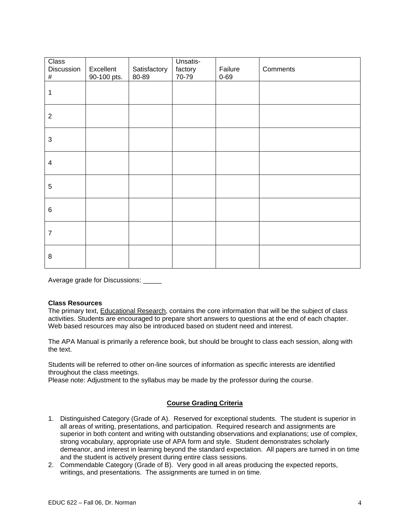| Class<br>Discussion<br># | Excellent<br>90-100 pts. | Satisfactory<br>80-89 | Unsatis-<br>factory<br>$70 - 79$ | Failure<br>$0 - 69$ | Comments |
|--------------------------|--------------------------|-----------------------|----------------------------------|---------------------|----------|
| $\mathbf{1}$             |                          |                       |                                  |                     |          |
| $\overline{2}$           |                          |                       |                                  |                     |          |
| $\mathbf{3}$             |                          |                       |                                  |                     |          |
| $\overline{\mathcal{A}}$ |                          |                       |                                  |                     |          |
| $\sqrt{5}$               |                          |                       |                                  |                     |          |
| 6                        |                          |                       |                                  |                     |          |
| $\overline{7}$           |                          |                       |                                  |                     |          |
| $\, 8$                   |                          |                       |                                  |                     |          |

Average grade for Discussions: \_\_\_\_\_

# **Class Resources**

The primary text, Educational Research, contains the core information that will be the subject of class activities. Students are encouraged to prepare short answers to questions at the end of each chapter. Web based resources may also be introduced based on student need and interest.

The APA Manual is primarily a reference book, but should be brought to class each session, along with the text.

Students will be referred to other on-line sources of information as specific interests are identified throughout the class meetings.

Please note: Adjustment to the syllabus may be made by the professor during the course.

# **Course Grading Criteria**

- 1. Distinguished Category (Grade of A). Reserved for exceptional students. The student is superior in all areas of writing, presentations, and participation. Required research and assignments are superior in both content and writing with outstanding observations and explanations; use of complex, strong vocabulary, appropriate use of APA form and style. Student demonstrates scholarly demeanor, and interest in learning beyond the standard expectation. All papers are turned in on time and the student is actively present during entire class sessions.
- 2. Commendable Category (Grade of B). Very good in all areas producing the expected reports, writings, and presentations. The assignments are turned in on time.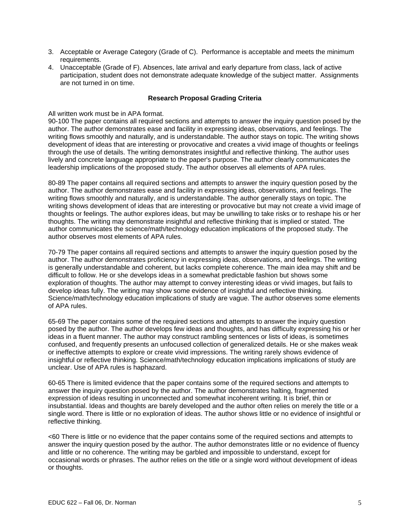- 3. Acceptable or Average Category (Grade of C). Performance is acceptable and meets the minimum requirements.
- 4. Unacceptable (Grade of F). Absences, late arrival and early departure from class, lack of active participation, student does not demonstrate adequate knowledge of the subject matter. Assignments are not turned in on time.

#### **Research Proposal Grading Criteria**

#### All written work must be in APA format.

90-100 The paper contains all required sections and attempts to answer the inquiry question posed by the author. The author demonstrates ease and facility in expressing ideas, observations, and feelings. The writing flows smoothly and naturally, and is understandable. The author stays on topic. The writing shows development of ideas that are interesting or provocative and creates a vivid image of thoughts or feelings through the use of details. The writing demonstrates insightful and reflective thinking. The author uses lively and concrete language appropriate to the paper's purpose. The author clearly communicates the leadership implications of the proposed study. The author observes all elements of APA rules.

80-89 The paper contains all required sections and attempts to answer the inquiry question posed by the author. The author demonstrates ease and facility in expressing ideas, observations, and feelings. The writing flows smoothly and naturally, and is understandable. The author generally stays on topic. The writing shows development of ideas that are interesting or provocative but may not create a vivid image of thoughts or feelings. The author explores ideas, but may be unwilling to take risks or to reshape his or her thoughts. The writing may demonstrate insightful and reflective thinking that is implied or stated. The author communicates the science/math/technology education implications of the proposed study. The author observes most elements of APA rules.

70-79 The paper contains all required sections and attempts to answer the inquiry question posed by the author. The author demonstrates proficiency in expressing ideas, observations, and feelings. The writing is generally understandable and coherent, but lacks complete coherence. The main idea may shift and be difficult to follow. He or she develops ideas in a somewhat predictable fashion but shows some exploration of thoughts. The author may attempt to convey interesting ideas or vivid images, but fails to develop ideas fully. The writing may show some evidence of insightful and reflective thinking. Science/math/technology education implications of study are vague. The author observes some elements of APA rules.

65-69 The paper contains some of the required sections and attempts to answer the inquiry question posed by the author. The author develops few ideas and thoughts, and has difficulty expressing his or her ideas in a fluent manner. The author may construct rambling sentences or lists of ideas, is sometimes confused, and frequently presents an unfocused collection of generalized details. He or she makes weak or ineffective attempts to explore or create vivid impressions. The writing rarely shows evidence of insightful or reflective thinking. Science/math/technology education implications implications of study are unclear. Use of APA rules is haphazard.

60-65 There is limited evidence that the paper contains some of the required sections and attempts to answer the inquiry question posed by the author. The author demonstrates halting, fragmented expression of ideas resulting in unconnected and somewhat incoherent writing. It is brief, thin or insubstantial. Ideas and thoughts are barely developed and the author often relies on merely the title or a single word. There is little or no exploration of ideas. The author shows little or no evidence of insightful or reflective thinking.

<60 There is little or no evidence that the paper contains some of the required sections and attempts to answer the inquiry question posed by the author. The author demonstrates little or no evidence of fluency and little or no coherence. The writing may be garbled and impossible to understand, except for occasional words or phrases. The author relies on the title or a single word without development of ideas or thoughts.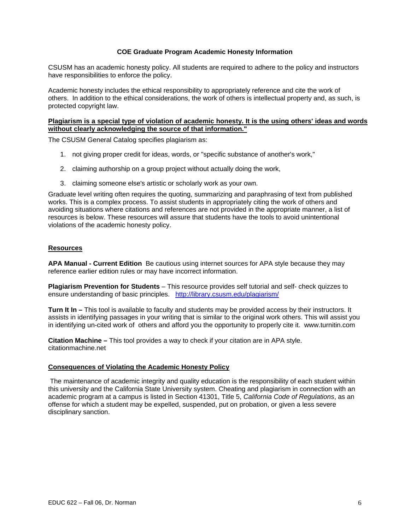### **COE Graduate Program Academic Honesty Information**

CSUSM has an academic honesty policy. All students are required to adhere to the policy and instructors have responsibilities to enforce the policy.

Academic honesty includes the ethical responsibility to appropriately reference and cite the work of others. In addition to the ethical considerations, the work of others is intellectual property and, as such, is protected copyright law.

#### **Plagiarism is a special type of violation of academic honesty. It is the using others' ideas and words without clearly acknowledging the source of that information."**

The CSUSM General Catalog specifies plagiarism as:

- 1. not giving proper credit for ideas, words, or "specific substance of another's work,"
- 2. claiming authorship on a group project without actually doing the work,
- 3. claiming someone else's artistic or scholarly work as your own.

Graduate level writing often requires the quoting, summarizing and paraphrasing of text from published works. This is a complex process. To assist students in appropriately citing the work of others and avoiding situations where citations and references are not provided in the appropriate manner, a list of resources is below. These resources will assure that students have the tools to avoid unintentional violations of the academic honesty policy.

### **Resources**

**APA Manual - Current Edition** Be cautious using internet sources for APA style because they may reference earlier edition rules or may have incorrect information.

**Plagiarism Prevention for Students** – This resource provides self tutorial and self- check quizzes to ensure understanding of basic principles. http://library.csusm.edu/plagiarism/

**Turn It In –** This tool is available to faculty and students may be provided access by their instructors. It assists in identifying passages in your writing that is similar to the original work others. This will assist you in identifying un-cited work of others and afford you the opportunity to properly cite it. www.turnitin.com

**Citation Machine –** This tool provides a way to check if your citation are in APA style. citationmachine.net

#### **Consequences of Violating the Academic Honesty Policy**

The maintenance of academic integrity and quality education is the responsibility of each student within this university and the California State University system. Cheating and plagiarism in connection with an academic program at a campus is listed in Section 41301, Title 5, *California Code of Regulations*, as an offense for which a student may be expelled, suspended, put on probation, or given a less severe disciplinary sanction.